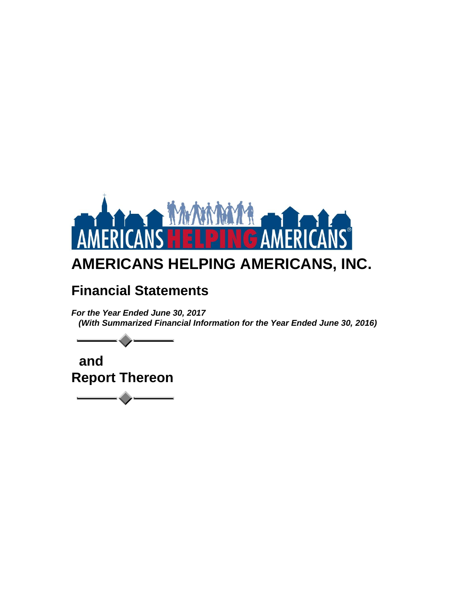

# **Financial Statements**

*For the Year Ended June 30, 2017 (With Summarized Financial Information for the Year Ended June 30, 2016)*

 **and Report Thereon**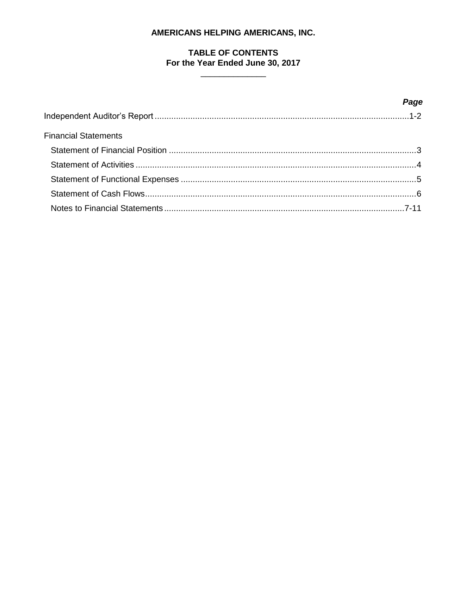# TABLE OF CONTENTS For the Year Ended June 30, 2017

|                             | Page |
|-----------------------------|------|
|                             |      |
| <b>Financial Statements</b> |      |
|                             |      |
|                             |      |
|                             |      |
|                             |      |
|                             |      |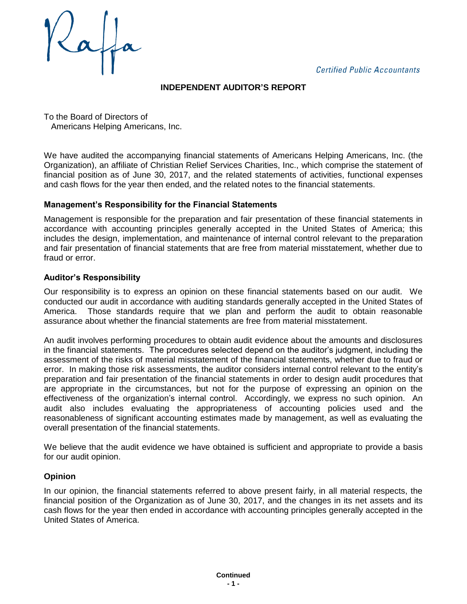**Certified Public Accountants** 

# **INDEPENDENT AUDITOR'S REPORT**

To the Board of Directors of Americans Helping Americans, Inc.

We have audited the accompanying financial statements of Americans Helping Americans, Inc. (the Organization), an affiliate of Christian Relief Services Charities, Inc., which comprise the statement of financial position as of June 30, 2017, and the related statements of activities, functional expenses and cash flows for the year then ended, and the related notes to the financial statements.

## **Management's Responsibility for the Financial Statements**

Management is responsible for the preparation and fair presentation of these financial statements in accordance with accounting principles generally accepted in the United States of America; this includes the design, implementation, and maintenance of internal control relevant to the preparation and fair presentation of financial statements that are free from material misstatement, whether due to fraud or error.

## **Auditor's Responsibility**

Our responsibility is to express an opinion on these financial statements based on our audit. We conducted our audit in accordance with auditing standards generally accepted in the United States of America. Those standards require that we plan and perform the audit to obtain reasonable assurance about whether the financial statements are free from material misstatement.

An audit involves performing procedures to obtain audit evidence about the amounts and disclosures in the financial statements. The procedures selected depend on the auditor's judgment, including the assessment of the risks of material misstatement of the financial statements, whether due to fraud or error. In making those risk assessments, the auditor considers internal control relevant to the entity's preparation and fair presentation of the financial statements in order to design audit procedures that are appropriate in the circumstances, but not for the purpose of expressing an opinion on the effectiveness of the organization's internal control. Accordingly, we express no such opinion. An audit also includes evaluating the appropriateness of accounting policies used and the reasonableness of significant accounting estimates made by management, as well as evaluating the overall presentation of the financial statements.

We believe that the audit evidence we have obtained is sufficient and appropriate to provide a basis for our audit opinion.

## **Opinion**

In our opinion, the financial statements referred to above present fairly, in all material respects, the financial position of the Organization as of June 30, 2017, and the changes in its net assets and its cash flows for the year then ended in accordance with accounting principles generally accepted in the United States of America.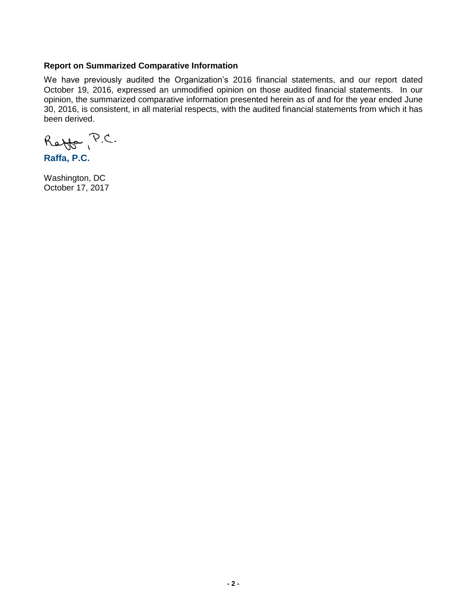## **Report on Summarized Comparative Information**

We have previously audited the Organization's 2016 financial statements, and our report dated October 19, 2016, expressed an unmodified opinion on those audited financial statements. In our opinion, the summarized comparative information presented herein as of and for the year ended June 30, 2016, is consistent, in all material respects, with the audited financial statements from which it has been derived.

Raffa, P.C.

**Raffa, P.C.**

Washington, DC October 17, 2017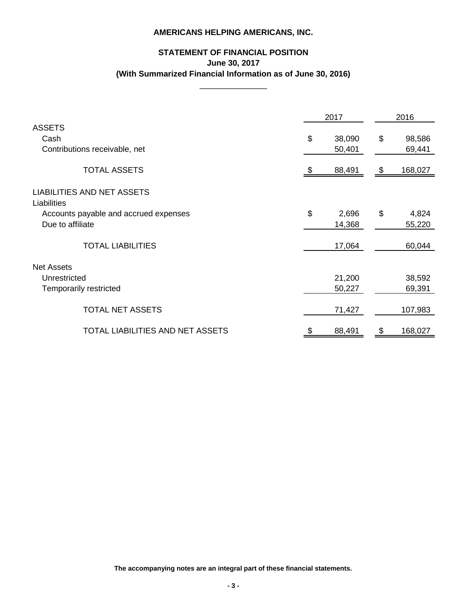# **STATEMENT OF FINANCIAL POSITION June 30, 2017 (With Summarized Financial Information as of June 30, 2016)**

\_\_\_\_\_\_\_\_\_\_\_\_\_\_\_

|                                                  | 2017         | 2016          |  |  |
|--------------------------------------------------|--------------|---------------|--|--|
| <b>ASSETS</b>                                    |              |               |  |  |
| Cash                                             | \$<br>38,090 | \$<br>98,586  |  |  |
| Contributions receivable, net                    | 50,401       | 69,441        |  |  |
| <b>TOTAL ASSETS</b>                              | 88,491       | \$<br>168,027 |  |  |
| <b>LIABILITIES AND NET ASSETS</b><br>Liabilities |              |               |  |  |
| Accounts payable and accrued expenses            | \$<br>2,696  | \$<br>4,824   |  |  |
| Due to affiliate                                 | 14,368       | 55,220        |  |  |
|                                                  |              |               |  |  |
| <b>TOTAL LIABILITIES</b>                         | 17,064       | 60,044        |  |  |
| <b>Net Assets</b>                                |              |               |  |  |
| Unrestricted                                     | 21,200       | 38,592        |  |  |
| Temporarily restricted                           | 50,227       | 69,391        |  |  |
|                                                  |              |               |  |  |
| <b>TOTAL NET ASSETS</b>                          | 71,427       | 107,983       |  |  |
| TOTAL LIABILITIES AND NET ASSETS                 | \$<br>88,491 | \$<br>168,027 |  |  |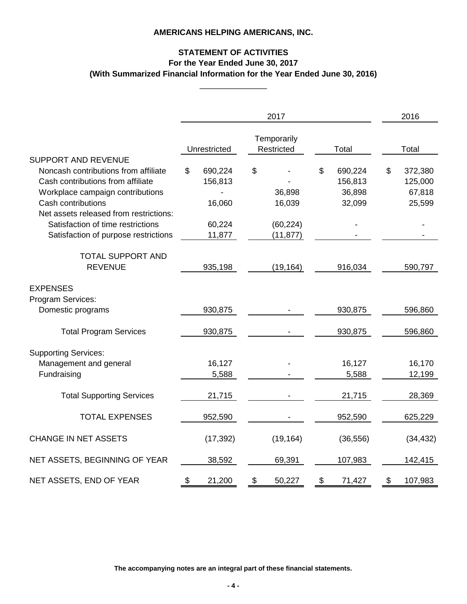# **STATEMENT OF ACTIVITIES For the Year Ended June 30, 2017 (With Summarized Financial Information for the Year Ended June 30, 2016)**

\_\_\_\_\_\_\_\_\_\_\_\_\_\_\_

|                                                                                                                                                                                                                                                                                          | 2017 |                                                  |    |                                            |    |                                        |    | 2016                                   |  |  |
|------------------------------------------------------------------------------------------------------------------------------------------------------------------------------------------------------------------------------------------------------------------------------------------|------|--------------------------------------------------|----|--------------------------------------------|----|----------------------------------------|----|----------------------------------------|--|--|
|                                                                                                                                                                                                                                                                                          |      | Unrestricted                                     |    | Temporarily<br>Restricted                  |    | Total                                  |    | Total                                  |  |  |
| <b>SUPPORT AND REVENUE</b><br>Noncash contributions from affiliate<br>Cash contributions from affiliate<br>Workplace campaign contributions<br>Cash contributions<br>Net assets released from restrictions:<br>Satisfaction of time restrictions<br>Satisfaction of purpose restrictions | \$   | 690,224<br>156,813<br>16,060<br>60,224<br>11,877 | \$ | 36,898<br>16,039<br>(60, 224)<br>(11, 877) | \$ | 690,224<br>156,813<br>36,898<br>32,099 | \$ | 372,380<br>125,000<br>67,818<br>25,599 |  |  |
| <b>TOTAL SUPPORT AND</b><br><b>REVENUE</b>                                                                                                                                                                                                                                               |      | 935,198                                          |    | (19, 164)                                  |    | 916,034                                |    | 590,797                                |  |  |
| <b>EXPENSES</b><br>Program Services:<br>Domestic programs<br><b>Total Program Services</b>                                                                                                                                                                                               |      | 930,875<br>930,875                               |    |                                            |    | 930,875<br>930,875                     |    | 596,860<br>596,860                     |  |  |
| <b>Supporting Services:</b><br>Management and general<br>Fundraising                                                                                                                                                                                                                     |      | 16,127<br>5,588                                  |    |                                            |    | 16,127<br>5,588                        |    | 16,170<br>12,199                       |  |  |
| <b>Total Supporting Services</b>                                                                                                                                                                                                                                                         |      | 21,715                                           |    |                                            |    | 21,715                                 |    | 28,369                                 |  |  |
| <b>TOTAL EXPENSES</b>                                                                                                                                                                                                                                                                    |      | 952,590                                          |    |                                            |    | 952,590                                |    | 625,229                                |  |  |
| <b>CHANGE IN NET ASSETS</b>                                                                                                                                                                                                                                                              |      | (17, 392)                                        |    | (19, 164)                                  |    | (36, 556)                              |    | (34, 432)                              |  |  |
| NET ASSETS, BEGINNING OF YEAR                                                                                                                                                                                                                                                            |      | 38,592                                           |    | 69,391                                     |    | 107,983                                |    | 142,415                                |  |  |
| NET ASSETS, END OF YEAR                                                                                                                                                                                                                                                                  | \$   | 21,200                                           | \$ | 50,227                                     | \$ | 71,427                                 | \$ | 107,983                                |  |  |

**The accompanying notes are an integral part of these financial statements.**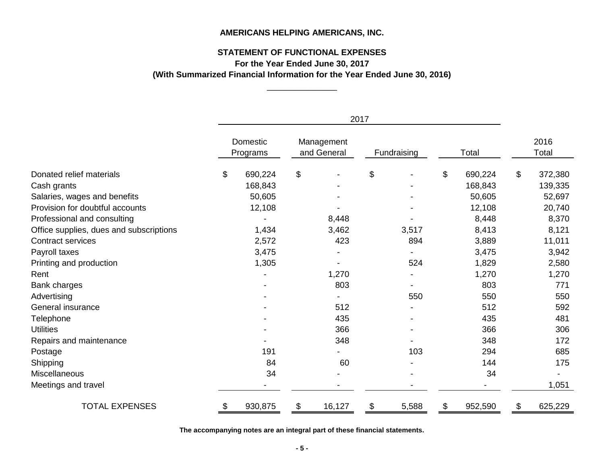# **STATEMENT OF FUNCTIONAL EXPENSES**

**For the Year Ended June 30, 2017**

\_\_\_\_\_\_\_\_\_\_\_\_\_\_\_ **(With Summarized Financial Information for the Year Ended June 30, 2016)**

|                                         | 2017 |                      |    |                           |    |                          |    |         |    |               |
|-----------------------------------------|------|----------------------|----|---------------------------|----|--------------------------|----|---------|----|---------------|
|                                         |      | Domestic<br>Programs |    | Management<br>and General |    | Fundraising              |    | Total   |    | 2016<br>Total |
|                                         |      |                      |    |                           |    |                          |    |         |    |               |
| Donated relief materials                | \$   | 690,224              | \$ |                           | \$ |                          | \$ | 690,224 | \$ | 372,380       |
| Cash grants                             |      | 168,843              |    |                           |    |                          |    | 168,843 |    | 139,335       |
| Salaries, wages and benefits            |      | 50,605               |    |                           |    |                          |    | 50,605  |    | 52,697        |
| Provision for doubtful accounts         |      | 12,108               |    |                           |    |                          |    | 12,108  |    | 20,740        |
| Professional and consulting             |      |                      |    | 8,448                     |    |                          |    | 8,448   |    | 8,370         |
| Office supplies, dues and subscriptions |      | 1,434                |    | 3,462                     |    | 3,517                    |    | 8,413   |    | 8,121         |
| <b>Contract services</b>                |      | 2,572                |    | 423                       |    | 894                      |    | 3,889   |    | 11,011        |
| Payroll taxes                           |      | 3,475                |    | $\overline{\phantom{a}}$  |    | $\overline{\phantom{a}}$ |    | 3,475   |    | 3,942         |
| Printing and production                 |      | 1,305                |    |                           |    | 524                      |    | 1,829   |    | 2,580         |
| Rent                                    |      |                      |    | 1,270                     |    |                          |    | 1,270   |    | 1,270         |
| Bank charges                            |      |                      |    | 803                       |    |                          |    | 803     |    | 771           |
| Advertising                             |      |                      |    | $\overline{\phantom{a}}$  |    | 550                      |    | 550     |    | 550           |
| General insurance                       |      |                      |    | 512                       |    |                          |    | 512     |    | 592           |
| Telephone                               |      |                      |    | 435                       |    |                          |    | 435     |    | 481           |
| <b>Utilities</b>                        |      |                      |    | 366                       |    |                          |    | 366     |    | 306           |
| Repairs and maintenance                 |      |                      |    | 348                       |    |                          |    | 348     |    | 172           |
| Postage                                 |      | 191                  |    |                           |    | 103                      |    | 294     |    | 685           |
| Shipping                                |      | 84                   |    | 60                        |    |                          |    | 144     |    | 175           |
| Miscellaneous                           |      | 34                   |    |                           |    |                          |    | 34      |    |               |
| Meetings and travel                     |      |                      |    |                           |    |                          |    |         |    | 1,051         |
| <b>TOTAL EXPENSES</b>                   | \$   | 930,875              | \$ | 16,127                    | \$ | 5,588                    | \$ | 952,590 | \$ | 625,229       |

**The accompanying notes are an integral part of these financial statements.**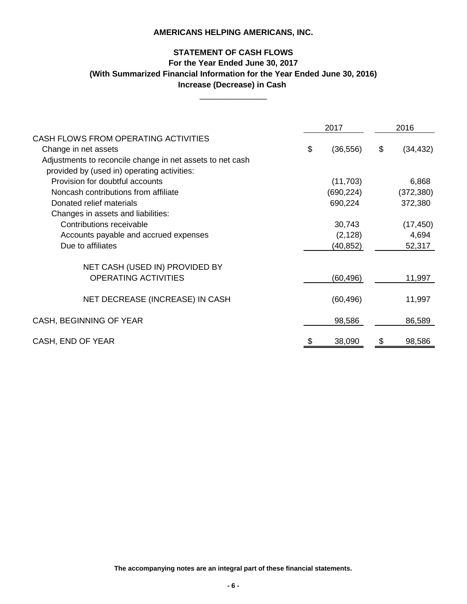# **STATEMENT OF CASH FLOWS For the Year Ended June 30, 2017 Increase (Decrease) in Cash (With Summarized Financial Information for the Year Ended June 30, 2016)**

\_\_\_\_\_\_\_\_\_\_\_\_\_\_\_

|                                                                                                                           | 2017            | 2016 |            |  |
|---------------------------------------------------------------------------------------------------------------------------|-----------------|------|------------|--|
| CASH FLOWS FROM OPERATING ACTIVITIES<br>Change in net assets<br>Adjustments to reconcile change in net assets to net cash | \$<br>(36, 556) | \$   | (34, 432)  |  |
| provided by (used in) operating activities:                                                                               |                 |      |            |  |
| Provision for doubtful accounts                                                                                           | (11, 703)       |      | 6,868      |  |
| Noncash contributions from affiliate                                                                                      | (690, 224)      |      | (372, 380) |  |
| Donated relief materials                                                                                                  | 690,224         |      | 372,380    |  |
| Changes in assets and liabilities:                                                                                        |                 |      |            |  |
| Contributions receivable                                                                                                  | 30,743          |      | (17, 450)  |  |
| Accounts payable and accrued expenses                                                                                     | (2, 128)        |      | 4,694      |  |
| Due to affiliates                                                                                                         | (40,852)        |      | 52,317     |  |
| NET CASH (USED IN) PROVIDED BY                                                                                            |                 |      |            |  |
| OPERATING ACTIVITIES                                                                                                      | (60, 496)       |      | 11,997     |  |
| NET DECREASE (INCREASE) IN CASH                                                                                           | (60, 496)       |      | 11,997     |  |
| CASH, BEGINNING OF YEAR                                                                                                   | 98,586          |      | 86,589     |  |
| CASH, END OF YEAR                                                                                                         | 38,090          |      | 98,586     |  |

**The accompanying notes are an integral part of these financial statements.**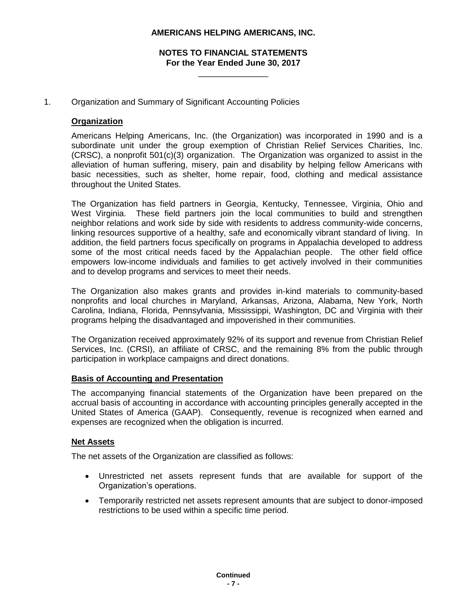## **NOTES TO FINANCIAL STATEMENTS For the Year Ended June 30, 2017**

\_\_\_\_\_\_\_\_\_\_\_\_\_\_\_

#### 1. Organization and Summary of Significant Accounting Policies

## **Organization**

Americans Helping Americans, Inc. (the Organization) was incorporated in 1990 and is a subordinate unit under the group exemption of Christian Relief Services Charities, Inc. (CRSC), a nonprofit 501(c)(3) organization. The Organization was organized to assist in the alleviation of human suffering, misery, pain and disability by helping fellow Americans with basic necessities, such as shelter, home repair, food, clothing and medical assistance throughout the United States.

The Organization has field partners in Georgia, Kentucky, Tennessee, Virginia, Ohio and West Virginia. These field partners join the local communities to build and strengthen neighbor relations and work side by side with residents to address community-wide concerns, linking resources supportive of a healthy, safe and economically vibrant standard of living. In addition, the field partners focus specifically on programs in Appalachia developed to address some of the most critical needs faced by the Appalachian people. The other field office empowers low-income individuals and families to get actively involved in their communities and to develop programs and services to meet their needs.

The Organization also makes grants and provides in-kind materials to community-based nonprofits and local churches in Maryland, Arkansas, Arizona, Alabama, New York, North Carolina, Indiana, Florida, Pennsylvania, Mississippi, Washington, DC and Virginia with their programs helping the disadvantaged and impoverished in their communities.

The Organization received approximately 92% of its support and revenue from Christian Relief Services, Inc. (CRSI), an affiliate of CRSC, and the remaining 8% from the public through participation in workplace campaigns and direct donations.

## **Basis of Accounting and Presentation**

The accompanying financial statements of the Organization have been prepared on the accrual basis of accounting in accordance with accounting principles generally accepted in the United States of America (GAAP). Consequently, revenue is recognized when earned and expenses are recognized when the obligation is incurred.

## **Net Assets**

The net assets of the Organization are classified as follows:

- Unrestricted net assets represent funds that are available for support of the Organization's operations.
- Temporarily restricted net assets represent amounts that are subject to donor-imposed restrictions to be used within a specific time period.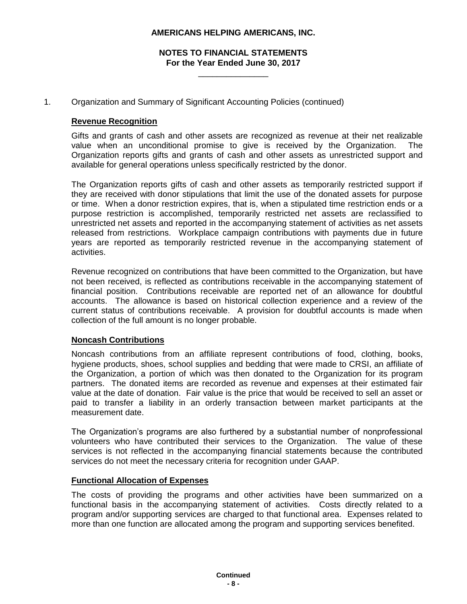## **NOTES TO FINANCIAL STATEMENTS For the Year Ended June 30, 2017**

\_\_\_\_\_\_\_\_\_\_\_\_\_\_\_

1. Organization and Summary of Significant Accounting Policies (continued)

## **Revenue Recognition**

Gifts and grants of cash and other assets are recognized as revenue at their net realizable value when an unconditional promise to give is received by the Organization. The Organization reports gifts and grants of cash and other assets as unrestricted support and available for general operations unless specifically restricted by the donor.

The Organization reports gifts of cash and other assets as temporarily restricted support if they are received with donor stipulations that limit the use of the donated assets for purpose or time. When a donor restriction expires, that is, when a stipulated time restriction ends or a purpose restriction is accomplished, temporarily restricted net assets are reclassified to unrestricted net assets and reported in the accompanying statement of activities as net assets released from restrictions. Workplace campaign contributions with payments due in future years are reported as temporarily restricted revenue in the accompanying statement of activities.

Revenue recognized on contributions that have been committed to the Organization, but have not been received, is reflected as contributions receivable in the accompanying statement of financial position. Contributions receivable are reported net of an allowance for doubtful accounts. The allowance is based on historical collection experience and a review of the current status of contributions receivable. A provision for doubtful accounts is made when collection of the full amount is no longer probable.

## **Noncash Contributions**

Noncash contributions from an affiliate represent contributions of food, clothing, books, hygiene products, shoes, school supplies and bedding that were made to CRSI, an affiliate of the Organization, a portion of which was then donated to the Organization for its program partners. The donated items are recorded as revenue and expenses at their estimated fair value at the date of donation. Fair value is the price that would be received to sell an asset or paid to transfer a liability in an orderly transaction between market participants at the measurement date.

The Organization's programs are also furthered by a substantial number of nonprofessional volunteers who have contributed their services to the Organization. The value of these services is not reflected in the accompanying financial statements because the contributed services do not meet the necessary criteria for recognition under GAAP.

#### **Functional Allocation of Expenses**

The costs of providing the programs and other activities have been summarized on a functional basis in the accompanying statement of activities. Costs directly related to a program and/or supporting services are charged to that functional area. Expenses related to more than one function are allocated among the program and supporting services benefited.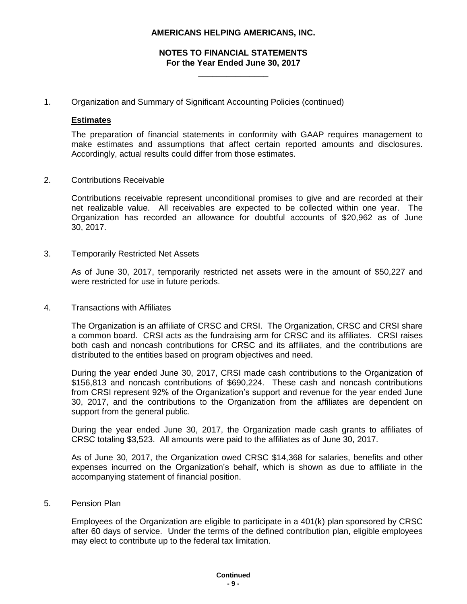## **NOTES TO FINANCIAL STATEMENTS For the Year Ended June 30, 2017**

\_\_\_\_\_\_\_\_\_\_\_\_\_\_\_

1. Organization and Summary of Significant Accounting Policies (continued)

#### **Estimates**

The preparation of financial statements in conformity with GAAP requires management to make estimates and assumptions that affect certain reported amounts and disclosures. Accordingly, actual results could differ from those estimates.

2. Contributions Receivable

Contributions receivable represent unconditional promises to give and are recorded at their net realizable value. All receivables are expected to be collected within one year. The Organization has recorded an allowance for doubtful accounts of \$20,962 as of June 30, 2017.

3. Temporarily Restricted Net Assets

As of June 30, 2017, temporarily restricted net assets were in the amount of \$50,227 and were restricted for use in future periods.

4. Transactions with Affiliates

The Organization is an affiliate of CRSC and CRSI. The Organization, CRSC and CRSI share a common board. CRSI acts as the fundraising arm for CRSC and its affiliates. CRSI raises both cash and noncash contributions for CRSC and its affiliates, and the contributions are distributed to the entities based on program objectives and need.

During the year ended June 30, 2017, CRSI made cash contributions to the Organization of \$156,813 and noncash contributions of \$690,224. These cash and noncash contributions from CRSI represent 92% of the Organization's support and revenue for the year ended June 30, 2017, and the contributions to the Organization from the affiliates are dependent on support from the general public.

During the year ended June 30, 2017, the Organization made cash grants to affiliates of CRSC totaling \$3,523. All amounts were paid to the affiliates as of June 30, 2017.

As of June 30, 2017, the Organization owed CRSC \$14,368 for salaries, benefits and other expenses incurred on the Organization's behalf, which is shown as due to affiliate in the accompanying statement of financial position.

5. Pension Plan

Employees of the Organization are eligible to participate in a 401(k) plan sponsored by CRSC after 60 days of service. Under the terms of the defined contribution plan, eligible employees may elect to contribute up to the federal tax limitation.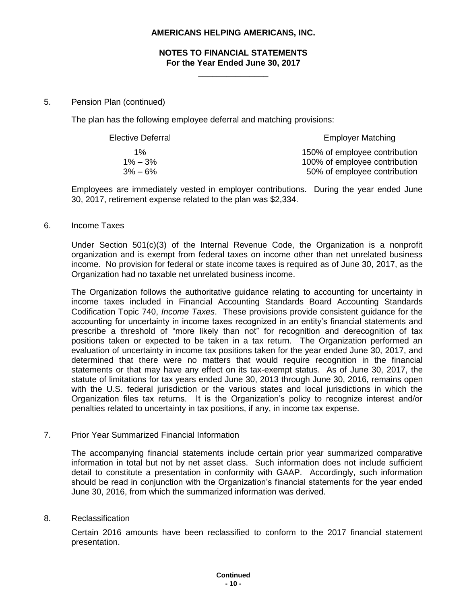#### **NOTES TO FINANCIAL STATEMENTS For the Year Ended June 30, 2017**

\_\_\_\_\_\_\_\_\_\_\_\_\_\_\_

#### 5. Pension Plan (continued)

The plan has the following employee deferral and matching provisions:

Employees are immediately vested in employer contributions. During the year ended June 30, 2017, retirement expense related to the plan was \$2,334.

#### 6. Income Taxes

Under Section 501(c)(3) of the Internal Revenue Code, the Organization is a nonprofit organization and is exempt from federal taxes on income other than net unrelated business income. No provision for federal or state income taxes is required as of June 30, 2017, as the Organization had no taxable net unrelated business income.

The Organization follows the authoritative guidance relating to accounting for uncertainty in income taxes included in Financial Accounting Standards Board Accounting Standards Codification Topic 740, *Income Taxes*. These provisions provide consistent guidance for the accounting for uncertainty in income taxes recognized in an entity's financial statements and prescribe a threshold of "more likely than not" for recognition and derecognition of tax positions taken or expected to be taken in a tax return. The Organization performed an evaluation of uncertainty in income tax positions taken for the year ended June 30, 2017, and determined that there were no matters that would require recognition in the financial statements or that may have any effect on its tax-exempt status. As of June 30, 2017, the statute of limitations for tax years ended June 30, 2013 through June 30, 2016, remains open with the U.S. federal jurisdiction or the various states and local jurisdictions in which the Organization files tax returns. It is the Organization's policy to recognize interest and/or penalties related to uncertainty in tax positions, if any, in income tax expense.

#### 7. Prior Year Summarized Financial Information

The accompanying financial statements include certain prior year summarized comparative information in total but not by net asset class. Such information does not include sufficient detail to constitute a presentation in conformity with GAAP. Accordingly, such information should be read in conjunction with the Organization's financial statements for the year ended June 30, 2016, from which the summarized information was derived.

8. Reclassification

Certain 2016 amounts have been reclassified to conform to the 2017 financial statement presentation.